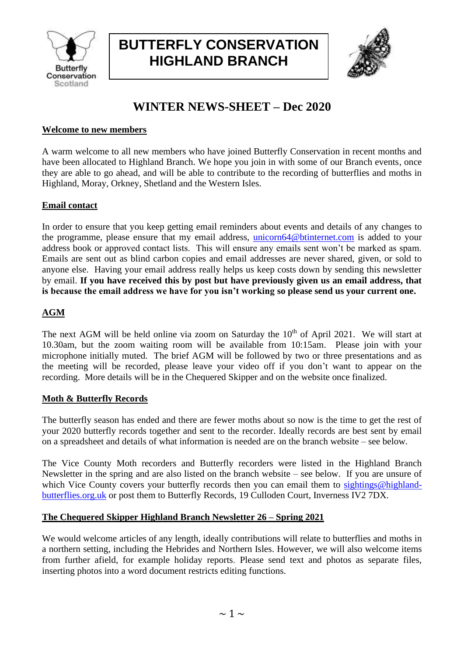

# **BUTTERFLY CONSERVATION HIGHLAND BRANCH**



# **WINTER NEWS-SHEET – Dec 2020**

## **Welcome to new members**

A warm welcome to all new members who have joined Butterfly Conservation in recent months and have been allocated to Highland Branch. We hope you join in with some of our Branch events, once they are able to go ahead, and will be able to contribute to the recording of butterflies and moths in Highland, Moray, Orkney, Shetland and the Western Isles.

## **Email contact**

In order to ensure that you keep getting email reminders about events and details of any changes to the programme, please ensure that my email address, [unicorn64@btinternet.com](mailto:unicorn64@btinternet.com) is added to your address book or approved contact lists. This will ensure any emails sent won't be marked as spam. Emails are sent out as blind carbon copies and email addresses are never shared, given, or sold to anyone else. Having your email address really helps us keep costs down by sending this newsletter by email. **If you have received this by post but have previously given us an email address, that is because the email address we have for you isn't working so please send us your current one.**

# **AGM**

The next AGM will be held online via zoom on Saturday the  $10<sup>th</sup>$  of April 2021. We will start at 10.30am, but the zoom waiting room will be available from 10:15am. Please join with your microphone initially muted. The brief AGM will be followed by two or three presentations and as the meeting will be recorded, please leave your video off if you don't want to appear on the recording. More details will be in the Chequered Skipper and on the website once finalized.

## **Moth & Butterfly Records**

The butterfly season has ended and there are fewer moths about so now is the time to get the rest of your 2020 butterfly records together and sent to the recorder. Ideally records are best sent by email on a spreadsheet and details of what information is needed are on the branch website – see below.

The Vice County Moth recorders and Butterfly recorders were listed in the Highland Branch Newsletter in the spring and are also listed on the branch website – see below. If you are unsure of which Vice County covers your butterfly records then you can email them to [sightings@highland](mailto:sightings@highland-butterflies.org.uk)[butterflies.org.uk](mailto:sightings@highland-butterflies.org.uk) or post them to Butterfly Records, 19 Culloden Court, Inverness IV2 7DX.

# **The Chequered Skipper Highland Branch Newsletter 26 – Spring 2021**

We would welcome articles of any length, ideally contributions will relate to butterflies and moths in a northern setting, including the Hebrides and Northern Isles. However, we will also welcome items from further afield, for example holiday reports. Please send text and photos as separate files, inserting photos into a word document restricts editing functions.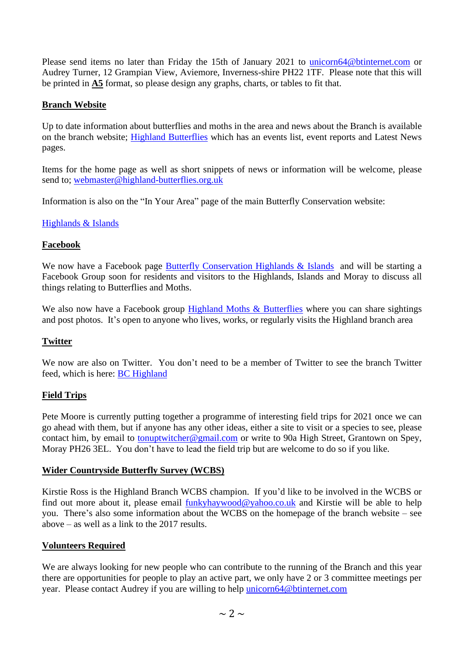Please send items no later than Friday the 15th of January 2021 to [unicorn64@btinternet.com](mailto:unicorn64@btinternet.com) or Audrey Turner, 12 Grampian View, Aviemore, Inverness-shire PH22 1TF. Please note that this will be printed in **A5** format, so please design any graphs, charts, or tables to fit that.

#### **Branch Website**

Up to date information about butterflies and moths in the area and news about the Branch is available on the branch website; [Highland Butterflies](http://www.highland-butterflies.org.uk/) which has an events list, event reports and Latest News pages.

Items for the home page as well as short snippets of news or information will be welcome, please send to; [webmaster@highland-butterflies.org.uk](mailto:webmaster@highland-butterflies.org.uk)

Information is also on the "In Your Area" page of the main Butterfly Conservation website:

#### [Highlands & Islands](http://butterfly-conservation.org/313/highlands-and-islands-branch.html)

#### **Facebook**

We now have a Facebook page **Butterfly [Conservation Highlands & Islands](https://www.facebook.com/ButterflyConservationHighlandsIslands)** and will be starting a Facebook Group soon for residents and visitors to the Highlands, Islands and Moray to discuss all things relating to Butterflies and Moths.

We also now have a Facebook group [Highland Moths & Butterflies](https://www.facebook.com/groups/highlandbutterflies/) where you can share sightings and post photos. It's open to anyone who lives, works, or regularly visits the Highland branch area

#### **Twitter**

We now are also on Twitter. You don't need to be a member of Twitter to see the branch Twitter feed, which is here: [BC Highland](https://twitter.com/BC_Highland)

#### **Field Trips**

Pete Moore is currently putting together a programme of interesting field trips for 2021 once we can go ahead with them, but if anyone has any other ideas, either a site to visit or a species to see, please contact him, by email to [tonuptwitcher@gmail.com](mailto:tonuptwitcher@gmail.com) or write to 90a High Street, Grantown on Spey, Moray PH26 3EL. You don't have to lead the field trip but are welcome to do so if you like.

#### **Wider Countryside Butterfly Survey (WCBS)**

Kirstie Ross is the Highland Branch WCBS champion. If you'd like to be involved in the WCBS or find out more about it, please email [funkyhaywood@yahoo.co.uk](mailto:funkyhaywood@yahoo.co.uk) and Kirstie will be able to help you. There's also some information about the WCBS on the homepage of the branch website – see above – as well as a link to the 2017 results.

#### **Volunteers Required**

We are always looking for new people who can contribute to the running of the Branch and this year there are opportunities for people to play an active part, we only have 2 or 3 committee meetings per year. Please contact Audrey if you are willing to help [unicorn64@btinternet.com](mailto:unicorn64@btinternet.com)